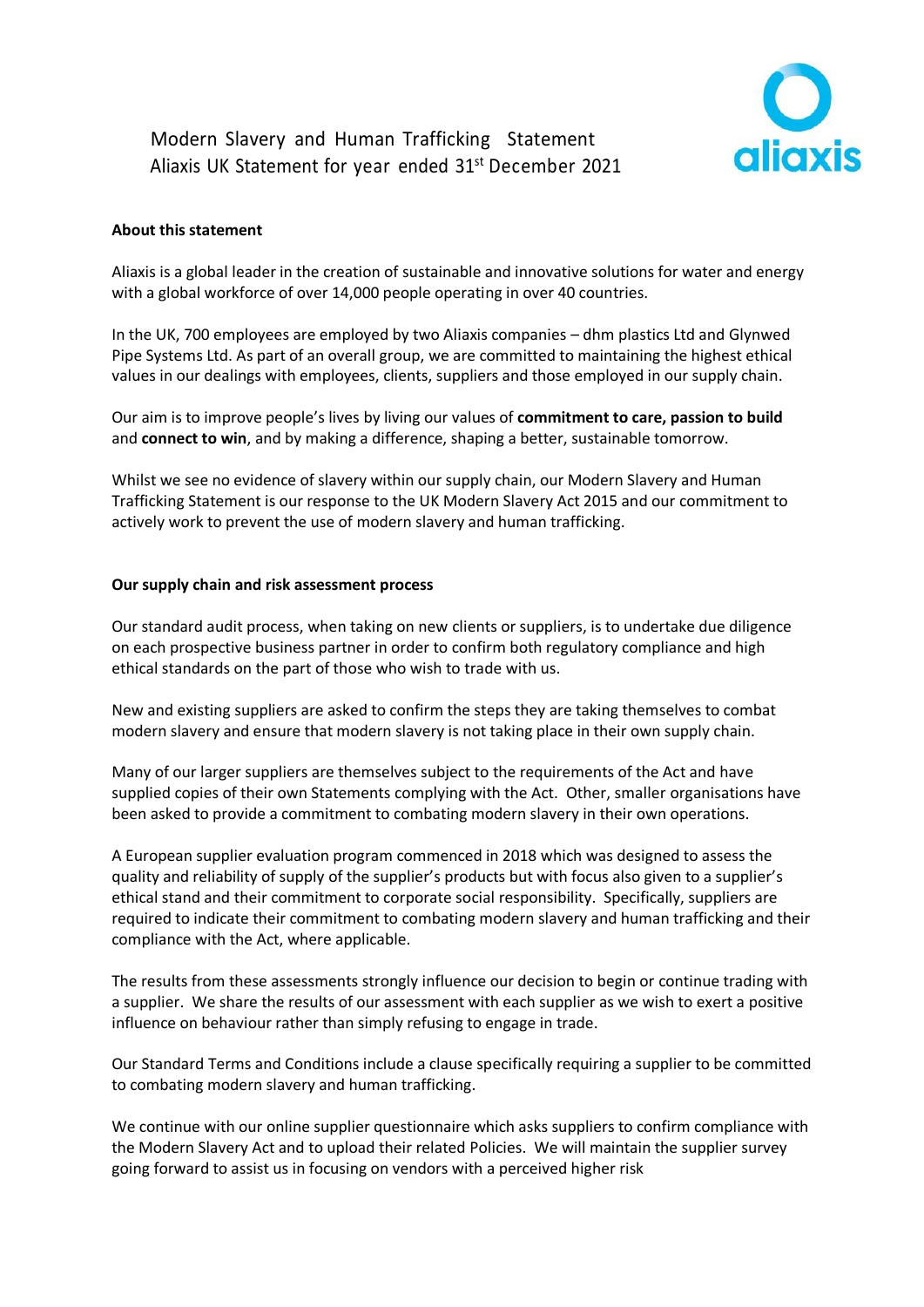## Modern Slavery and Human Trafficking Statement Aliaxis UK Statement for year ended 31st December 2021



## **About this statement**

Aliaxis is a global leader in the creation of sustainable and innovative solutions for water and energy with a global workforce of over 14,000 people operating in over 40 countries.

In the UK, 700 employees are employed by two Aliaxis companies – dhm plastics Ltd and Glynwed Pipe Systems Ltd. As part of an overall group, we are committed to maintaining the highest ethical values in our dealings with employees, clients, suppliers and those employed in our supply chain.

Our aim is to improve people's lives by living our values of **commitment to care, passion to build**  and **connect to win**, and by making a difference, shaping a better, sustainable tomorrow.

Whilst we see no evidence of slavery within our supply chain, our Modern Slavery and Human Trafficking Statement is our response to the UK Modern Slavery Act 2015 and our commitment to actively work to prevent the use of modern slavery and human trafficking.

#### **Our supply chain and risk assessment process**

Our standard audit process, when taking on new clients or suppliers, is to undertake due diligence on each prospective business partner in order to confirm both regulatory compliance and high ethical standards on the part of those who wish to trade with us.

New and existing suppliers are asked to confirm the steps they are taking themselves to combat modern slavery and ensure that modern slavery is not taking place in their own supply chain.

Many of our larger suppliers are themselves subject to the requirements of the Act and have supplied copies of their own Statements complying with the Act. Other, smaller organisations have been asked to provide a commitment to combating modern slavery in their own operations.

A European supplier evaluation program commenced in 2018 which was designed to assess the quality and reliability of supply of the supplier's products but with focus also given to a supplier's ethical stand and their commitment to corporate social responsibility. Specifically, suppliers are required to indicate their commitment to combating modern slavery and human trafficking and their compliance with the Act, where applicable.

The results from these assessments strongly influence our decision to begin or continue trading with a supplier. We share the results of our assessment with each supplier as we wish to exert a positive influence on behaviour rather than simply refusing to engage in trade.

Our Standard Terms and Conditions include a clause specifically requiring a supplier to be committed to combating modern slavery and human trafficking.

We continue with our online supplier questionnaire which asks suppliers to confirm compliance with the Modern Slavery Act and to upload their related Policies. We will maintain the supplier survey going forward to assist us in focusing on vendors with a perceived higher risk